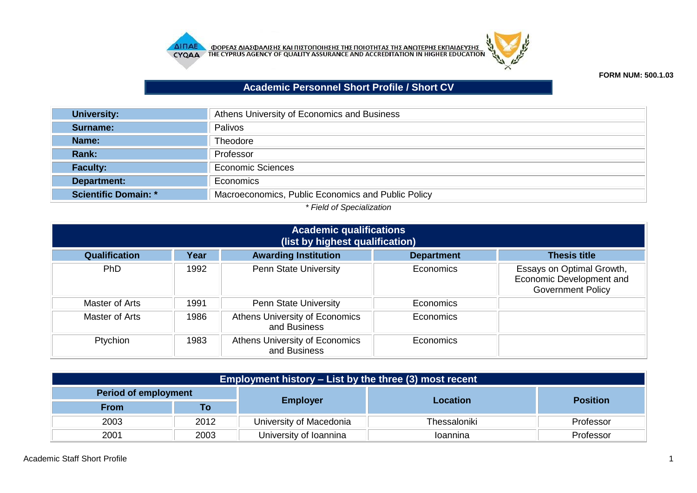



## **FORM NUM: 500.1.03**

## **Academic Personnel Short Profile / Short CV**

| <b>University:</b>          | Athens University of Economics and Business        |
|-----------------------------|----------------------------------------------------|
| Surname:                    | Palivos                                            |
| Name:                       | <b>Theodore</b>                                    |
| Rank:                       | Professor                                          |
| <b>Faculty:</b>             | <b>Economic Sciences</b>                           |
| Department:                 | Economics                                          |
| <b>Scientific Domain: *</b> | Macroeconomics, Public Economics and Public Policy |

## *\* Field of Specialization*

| <b>Academic qualifications</b><br>(list by highest qualification)                                       |      |                                                |                  |                                                                                   |  |  |
|---------------------------------------------------------------------------------------------------------|------|------------------------------------------------|------------------|-----------------------------------------------------------------------------------|--|--|
| <b>Awarding Institution</b><br><b>Qualification</b><br>Year<br><b>Thesis title</b><br><b>Department</b> |      |                                                |                  |                                                                                   |  |  |
| <b>PhD</b>                                                                                              | 1992 | <b>Penn State University</b>                   | Economics        | Essays on Optimal Growth,<br>Economic Development and<br><b>Government Policy</b> |  |  |
| Master of Arts                                                                                          | 1991 | <b>Penn State University</b>                   | Economics        |                                                                                   |  |  |
| Master of Arts                                                                                          | 1986 | Athens University of Economics<br>and Business | Economics        |                                                                                   |  |  |
| Ptychion                                                                                                | 1983 | Athens University of Economics<br>and Business | <b>Economics</b> |                                                                                   |  |  |

| <b>Employment history – List by the three (3) most recent</b> |      |                         |              |                 |  |
|---------------------------------------------------------------|------|-------------------------|--------------|-----------------|--|
| <b>Period of employment</b>                                   |      |                         |              | <b>Position</b> |  |
| <b>From</b>                                                   | Τo   | <b>Employer</b>         | Location     |                 |  |
| 2003                                                          | 2012 | University of Macedonia | Thessaloniki | Professor       |  |
| 2001                                                          | 2003 | University of Ioannina  | Ioannina     | Professor       |  |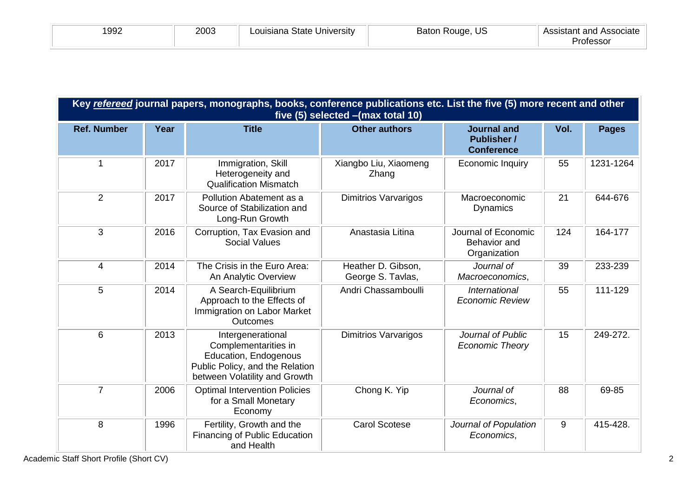| 1992 | 2003 | Louisiana State University | Baton Rouge, US | – Assistant and Associate |
|------|------|----------------------------|-----------------|---------------------------|
|      |      |                            |                 | Professor                 |

|                    | Key refereed journal papers, monographs, books, conference publications etc. List the five (5) more recent and other<br>five (5) selected - (max total 10) |                                                                                                                                        |                                         |                                                               |      |              |  |
|--------------------|------------------------------------------------------------------------------------------------------------------------------------------------------------|----------------------------------------------------------------------------------------------------------------------------------------|-----------------------------------------|---------------------------------------------------------------|------|--------------|--|
| <b>Ref. Number</b> | Year                                                                                                                                                       | <b>Title</b>                                                                                                                           | <b>Other authors</b>                    | <b>Journal and</b><br><b>Publisher /</b><br><b>Conference</b> | Vol. | <b>Pages</b> |  |
| 1                  | 2017                                                                                                                                                       | Immigration, Skill<br>Heterogeneity and<br><b>Qualification Mismatch</b>                                                               | Xiangbo Liu, Xiaomeng<br>Zhang          | Economic Inquiry                                              | 55   | 1231-1264    |  |
| $\overline{2}$     | 2017                                                                                                                                                       | Pollution Abatement as a<br>Source of Stabilization and<br>Long-Run Growth                                                             | <b>Dimitrios Varvarigos</b>             | Macroeconomic<br><b>Dynamics</b>                              | 21   | 644-676      |  |
| 3                  | 2016                                                                                                                                                       | Corruption, Tax Evasion and<br><b>Social Values</b>                                                                                    | Anastasia Litina                        | Journal of Economic<br><b>Behavior</b> and<br>Organization    | 124  | 164-177      |  |
| $\overline{4}$     | 2014                                                                                                                                                       | The Crisis in the Euro Area:<br>An Analytic Overview                                                                                   | Heather D. Gibson,<br>George S. Tavlas, | Journal of<br>Macroeconomics,                                 | 39   | 233-239      |  |
| 5                  | 2014                                                                                                                                                       | A Search-Equilibrium<br>Approach to the Effects of<br>Immigration on Labor Market<br><b>Outcomes</b>                                   | Andri Chassamboulli                     | International<br><b>Economic Review</b>                       | 55   | 111-129      |  |
| 6                  | 2013                                                                                                                                                       | Intergenerational<br>Complementarities in<br>Education, Endogenous<br>Public Policy, and the Relation<br>between Volatility and Growth | <b>Dimitrios Varvarigos</b>             | Journal of Public<br><b>Economic Theory</b>                   | 15   | 249-272.     |  |
| $\overline{7}$     | 2006                                                                                                                                                       | <b>Optimal Intervention Policies</b><br>for a Small Monetary<br>Economy                                                                | Chong K. Yip                            | Journal of<br>Economics,                                      | 88   | 69-85        |  |
| 8                  | 1996                                                                                                                                                       | Fertility, Growth and the<br>Financing of Public Education<br>and Health                                                               | <b>Carol Scotese</b>                    | Journal of Population<br>Economics,                           | 9    | 415-428.     |  |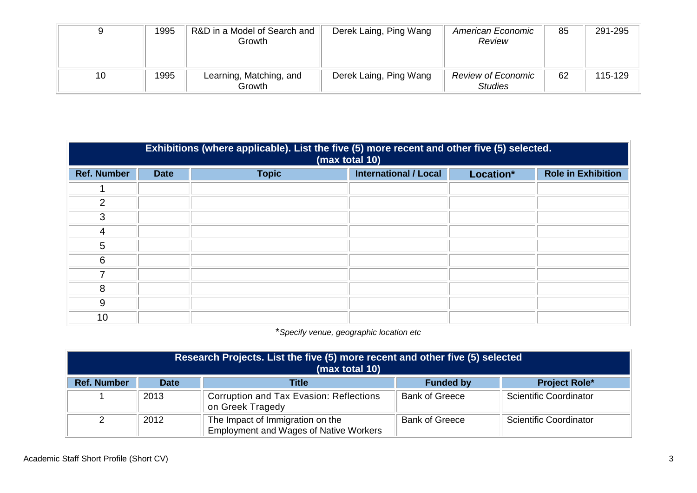|    | 1995 | R&D in a Model of Search and<br>Growth | Derek Laing, Ping Wang | American Economic<br>Review                 | 85 | 291-295 |
|----|------|----------------------------------------|------------------------|---------------------------------------------|----|---------|
| 10 | 1995 | Learning, Matching, and<br>Growth      | Derek Laing, Ping Wang | <b>Review of Economic</b><br><b>Studies</b> | 62 | 115-129 |

|                    | Exhibitions (where applicable). List the five (5) more recent and other five (5) selected.<br>(max total 10) |              |                              |           |                           |  |
|--------------------|--------------------------------------------------------------------------------------------------------------|--------------|------------------------------|-----------|---------------------------|--|
| <b>Ref. Number</b> | <b>Date</b>                                                                                                  | <b>Topic</b> | <b>International / Local</b> | Location* | <b>Role in Exhibition</b> |  |
|                    |                                                                                                              |              |                              |           |                           |  |
| 2                  |                                                                                                              |              |                              |           |                           |  |
| 3                  |                                                                                                              |              |                              |           |                           |  |
| 4                  |                                                                                                              |              |                              |           |                           |  |
| 5                  |                                                                                                              |              |                              |           |                           |  |
| 6                  |                                                                                                              |              |                              |           |                           |  |
|                    |                                                                                                              |              |                              |           |                           |  |
| 8                  |                                                                                                              |              |                              |           |                           |  |
| 9                  |                                                                                                              |              |                              |           |                           |  |
| 10                 |                                                                                                              |              |                              |           |                           |  |

\**Specify venue, geographic location etc*

| Research Projects. List the five (5) more recent and other five (5) selected<br>(max total 10) |             |                                                                                   |                       |                        |  |
|------------------------------------------------------------------------------------------------|-------------|-----------------------------------------------------------------------------------|-----------------------|------------------------|--|
| <b>Ref. Number</b>                                                                             | <b>Date</b> | <b>Title</b>                                                                      | <b>Funded by</b>      | <b>Project Role*</b>   |  |
|                                                                                                | 2013        | Corruption and Tax Evasion: Reflections<br>on Greek Tragedy                       | <b>Bank of Greece</b> | Scientific Coordinator |  |
|                                                                                                | 2012        | The Impact of Immigration on the<br><b>Employment and Wages of Native Workers</b> | <b>Bank of Greece</b> | Scientific Coordinator |  |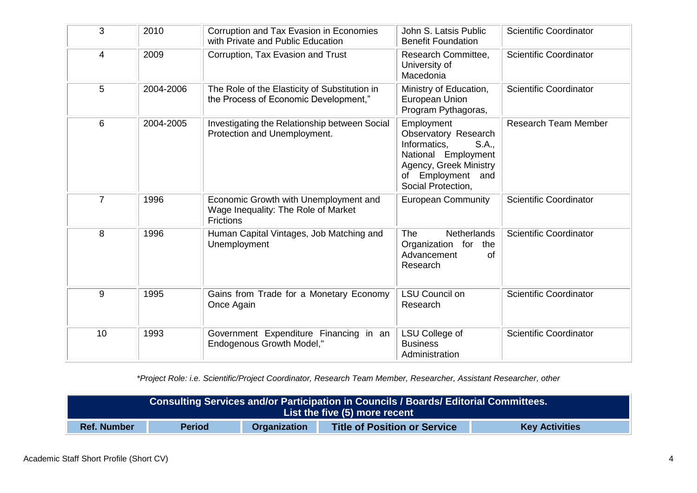| 3              | 2010      | Corruption and Tax Evasion in Economies<br>with Private and Public Education                     | John S. Latsis Public<br><b>Benefit Foundation</b>                                                                                                      | <b>Scientific Coordinator</b> |
|----------------|-----------|--------------------------------------------------------------------------------------------------|---------------------------------------------------------------------------------------------------------------------------------------------------------|-------------------------------|
| 4              | 2009      | Corruption, Tax Evasion and Trust                                                                | Research Committee,<br>University of<br>Macedonia                                                                                                       | <b>Scientific Coordinator</b> |
| 5              | 2004-2006 | The Role of the Elasticity of Substitution in<br>the Process of Economic Development,"           | Ministry of Education,<br>European Union<br>Program Pythagoras,                                                                                         | <b>Scientific Coordinator</b> |
| 6              | 2004-2005 | Investigating the Relationship between Social<br>Protection and Unemployment.                    | Employment<br>Observatory Research<br>Informatics,<br>S.A.,<br>National Employment<br>Agency, Greek Ministry<br>of Employment and<br>Social Protection, | <b>Research Team Member</b>   |
| $\overline{7}$ | 1996      | Economic Growth with Unemployment and<br>Wage Inequality: The Role of Market<br><b>Frictions</b> | <b>European Community</b>                                                                                                                               | <b>Scientific Coordinator</b> |
| 8              | 1996      | Human Capital Vintages, Job Matching and<br>Unemployment                                         | <b>The</b><br><b>Netherlands</b><br>Organization for the<br>Advancement<br>0f<br>Research                                                               | <b>Scientific Coordinator</b> |
| 9              | 1995      | Gains from Trade for a Monetary Economy<br>Once Again                                            | <b>LSU Council on</b><br>Research                                                                                                                       | <b>Scientific Coordinator</b> |
| 10             | 1993      | Government Expenditure Financing in an<br><b>Endogenous Growth Model,"</b>                       | LSU College of<br><b>Business</b><br>Administration                                                                                                     | <b>Scientific Coordinator</b> |

*\*Project Role: i.e. Scientific/Project Coordinator, Research Team Member, Researcher, Assistant Researcher, other*

| Consulting Services and/or Participation in Councils / Boards/ Editorial Committees.<br>List the five (5) more recent      |  |  |  |  |
|----------------------------------------------------------------------------------------------------------------------------|--|--|--|--|
| <b>Period</b><br><b>Ref. Number</b><br><b>Organization</b><br><b>Key Activities</b><br><b>Title of Position or Service</b> |  |  |  |  |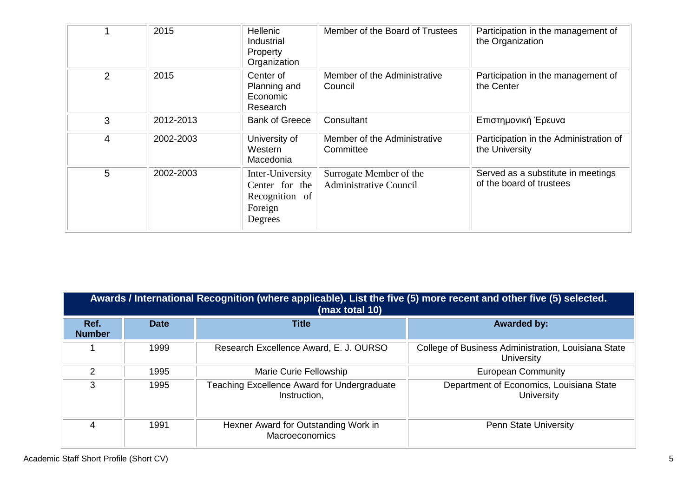|                | 2015      | <b>Hellenic</b><br>Industrial<br>Property<br>Organization                  | Member of the Board of Trustees                          | Participation in the management of<br>the Organization         |
|----------------|-----------|----------------------------------------------------------------------------|----------------------------------------------------------|----------------------------------------------------------------|
| $\overline{2}$ | 2015      | Center of<br>Planning and<br>Economic<br>Research                          | Member of the Administrative<br>Council                  | Participation in the management of<br>the Center               |
| 3              | 2012-2013 | <b>Bank of Greece</b>                                                      | Consultant                                               | Επιστημονική Έρευνα                                            |
| 4              | 2002-2003 | University of<br>Western<br>Macedonia                                      | Member of the Administrative<br>Committee                | Participation in the Administration of<br>the University       |
| 5              | 2002-2003 | Inter-University<br>Center for the<br>Recognition of<br>Foreign<br>Degrees | Surrogate Member of the<br><b>Administrative Council</b> | Served as a substitute in meetings<br>of the board of trustees |

|                       | Awards / International Recognition (where applicable). List the five (5) more recent and other five (5) selected.<br>(max total 10) |                                                               |                                                                   |  |  |  |
|-----------------------|-------------------------------------------------------------------------------------------------------------------------------------|---------------------------------------------------------------|-------------------------------------------------------------------|--|--|--|
| Ref.<br><b>Number</b> | <b>Date</b>                                                                                                                         | <b>Title</b>                                                  | <b>Awarded by:</b>                                                |  |  |  |
|                       | 1999                                                                                                                                | Research Excellence Award, E. J. OURSO                        | College of Business Administration, Louisiana State<br>University |  |  |  |
| $\mathcal{P}$         | 1995                                                                                                                                | Marie Curie Fellowship                                        | <b>European Community</b>                                         |  |  |  |
| 3                     | 1995                                                                                                                                | Teaching Excellence Award for Undergraduate<br>Instruction,   | Department of Economics, Louisiana State<br><b>University</b>     |  |  |  |
| 4                     | 1991                                                                                                                                | Hexner Award for Outstanding Work in<br><b>Macroeconomics</b> | <b>Penn State University</b>                                      |  |  |  |